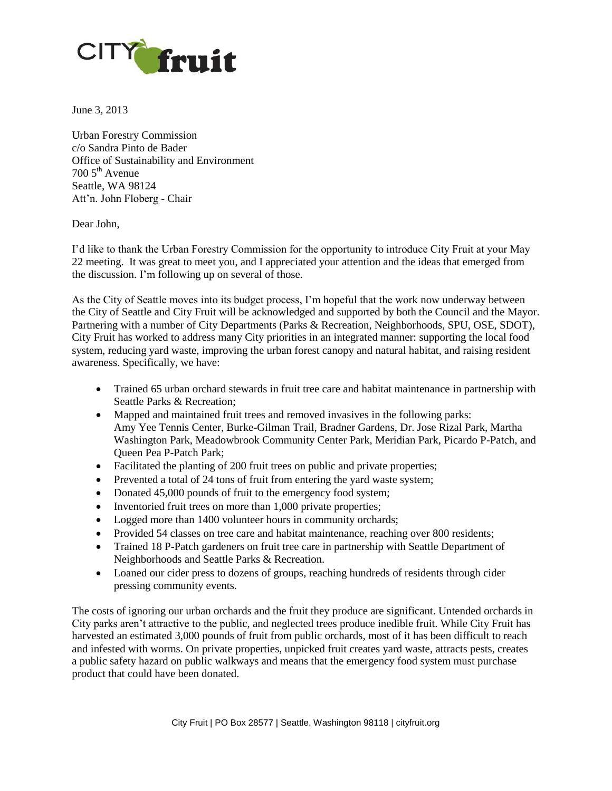

June 3, 2013

Urban Forestry Commission c/o Sandra Pinto de Bader Office of Sustainability and Environment  $7005^{\text{th}}$  Avenue Seattle, WA 98124 Att'n. John Floberg - Chair

## Dear John,

I'd like to thank the Urban Forestry Commission for the opportunity to introduce City Fruit at your May 22 meeting. It was great to meet you, and I appreciated your attention and the ideas that emerged from the discussion. I'm following up on several of those.

As the City of Seattle moves into its budget process, I'm hopeful that the work now underway between the City of Seattle and City Fruit will be acknowledged and supported by both the Council and the Mayor. Partnering with a number of City Departments (Parks & Recreation, Neighborhoods, SPU, OSE, SDOT), City Fruit has worked to address many City priorities in an integrated manner: supporting the local food system, reducing yard waste, improving the urban forest canopy and natural habitat, and raising resident awareness. Specifically, we have:

- Trained 65 urban orchard stewards in fruit tree care and habitat maintenance in partnership with Seattle Parks & Recreation;
- Mapped and maintained fruit trees and removed invasives in the following parks: Amy Yee Tennis Center, Burke-Gilman Trail, Bradner Gardens, Dr. Jose Rizal Park, Martha Washington Park, Meadowbrook Community Center Park, Meridian Park, Picardo P-Patch, and Queen Pea P-Patch Park;
- Facilitated the planting of 200 fruit trees on public and private properties;
- Prevented a total of 24 tons of fruit from entering the yard waste system;
- Donated 45,000 pounds of fruit to the emergency food system;
- Inventoried fruit trees on more than 1,000 private properties;
- Logged more than 1400 volunteer hours in community orchards;
- Provided 54 classes on tree care and habitat maintenance, reaching over 800 residents;
- Trained 18 P-Patch gardeners on fruit tree care in partnership with Seattle Department of Neighborhoods and Seattle Parks & Recreation.
- Loaned our cider press to dozens of groups, reaching hundreds of residents through cider pressing community events.

The costs of ignoring our urban orchards and the fruit they produce are significant. Untended orchards in City parks aren't attractive to the public, and neglected trees produce inedible fruit. While City Fruit has harvested an estimated 3,000 pounds of fruit from public orchards, most of it has been difficult to reach and infested with worms. On private properties, unpicked fruit creates yard waste, attracts pests, creates a public safety hazard on public walkways and means that the emergency food system must purchase product that could have been donated.